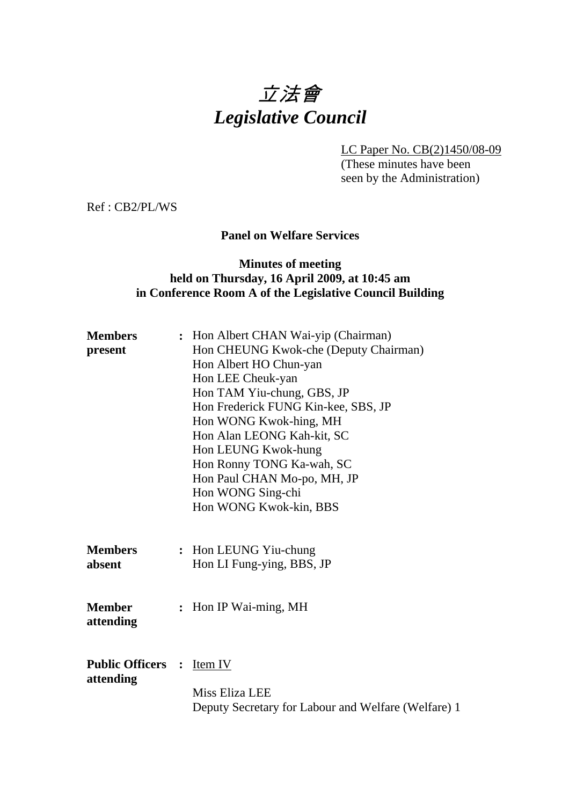# 立法會 *Legislative Council*

LC Paper No. CB(2)1450/08-09 (These minutes have been seen by the Administration)

Ref : CB2/PL/WS

## **Panel on Welfare Services**

## **Minutes of meeting held on Thursday, 16 April 2009, at 10:45 am in Conference Room A of the Legislative Council Building**

| <b>Members</b><br>present             | : Hon Albert CHAN Wai-yip (Chairman)<br>Hon CHEUNG Kwok-che (Deputy Chairman)<br>Hon Albert HO Chun-yan<br>Hon LEE Cheuk-yan<br>Hon TAM Yiu-chung, GBS, JP<br>Hon Frederick FUNG Kin-kee, SBS, JP<br>Hon WONG Kwok-hing, MH<br>Hon Alan LEONG Kah-kit, SC<br>Hon LEUNG Kwok-hung<br>Hon Ronny TONG Ka-wah, SC<br>Hon Paul CHAN Mo-po, MH, JP<br>Hon WONG Sing-chi<br>Hon WONG Kwok-kin, BBS |
|---------------------------------------|---------------------------------------------------------------------------------------------------------------------------------------------------------------------------------------------------------------------------------------------------------------------------------------------------------------------------------------------------------------------------------------------|
| <b>Members</b><br>absent              | : Hon LEUNG Yiu-chung<br>Hon LI Fung-ying, BBS, JP                                                                                                                                                                                                                                                                                                                                          |
| <b>Member</b><br>attending            | : Hon IP Wai-ming, MH                                                                                                                                                                                                                                                                                                                                                                       |
| <b>Public Officers :</b><br>attending | Item IV<br>Miss Eliza LEE<br>Deputy Secretary for Labour and Welfare (Welfare) 1                                                                                                                                                                                                                                                                                                            |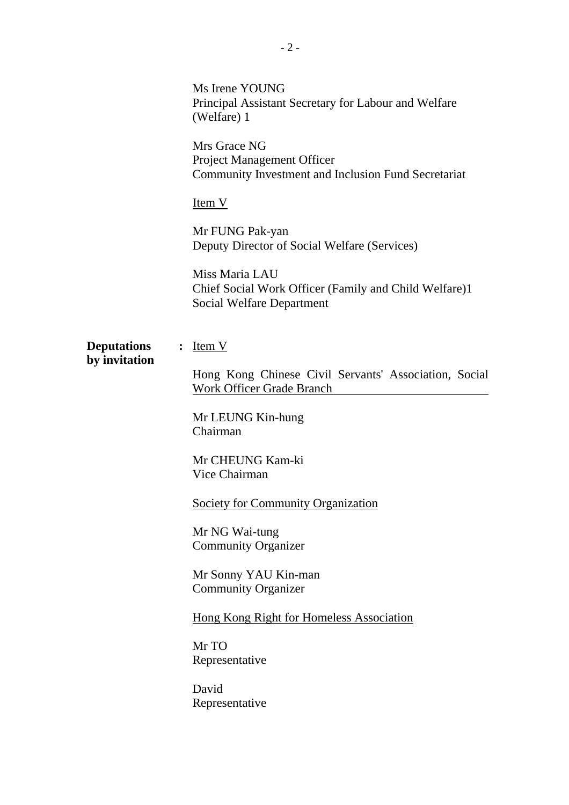|                                     |                                                                                                          | Ms Irene YOUNG<br>Principal Assistant Secretary for Labour and Welfare<br>(Welfare) 1                |
|-------------------------------------|----------------------------------------------------------------------------------------------------------|------------------------------------------------------------------------------------------------------|
|                                     | Mrs Grace NG<br><b>Project Management Officer</b><br>Community Investment and Inclusion Fund Secretariat |                                                                                                      |
|                                     | Item V                                                                                                   |                                                                                                      |
|                                     |                                                                                                          | Mr FUNG Pak-yan<br>Deputy Director of Social Welfare (Services)                                      |
|                                     |                                                                                                          | Miss Maria LAU<br>Chief Social Work Officer (Family and Child Welfare)1<br>Social Welfare Department |
| <b>Deputations</b><br>by invitation |                                                                                                          | $:$ Item V                                                                                           |
|                                     |                                                                                                          | Hong Kong Chinese Civil Servants' Association, Social<br><b>Work Officer Grade Branch</b>            |
|                                     |                                                                                                          | Mr LEUNG Kin-hung<br>Chairman                                                                        |
|                                     |                                                                                                          | Mr CHEUNG Kam-ki<br>Vice Chairman                                                                    |
|                                     |                                                                                                          | <b>Society for Community Organization</b>                                                            |
|                                     |                                                                                                          | Mr NG Wai-tung<br><b>Community Organizer</b>                                                         |
|                                     |                                                                                                          | Mr Sonny YAU Kin-man<br><b>Community Organizer</b>                                                   |
|                                     |                                                                                                          | <b>Hong Kong Right for Homeless Association</b>                                                      |
|                                     |                                                                                                          | Mr TO<br>Representative                                                                              |
|                                     |                                                                                                          | David<br>Representative                                                                              |
|                                     |                                                                                                          |                                                                                                      |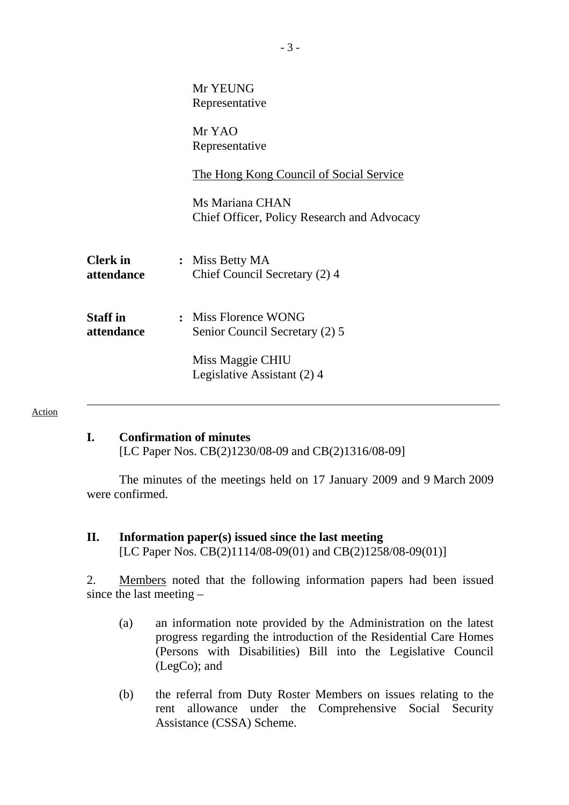### **I. Confirmation of minutes**

[LC Paper Nos. CB(2)1230/08-09 and CB(2)1316/08-09]

1. The minutes of the meetings held on 17 January 2009 and 9 March 2009 were confirmed.

**II. Information paper(s) issued since the last meeting**  [LC Paper Nos. CB(2)1114/08-09(01) and CB(2)1258/08-09(01)]

2. Members noted that the following information papers had been issued since the last meeting –

- (a) an information note provided by the Administration on the latest progress regarding the introduction of the Residential Care Homes (Persons with Disabilities) Bill into the Legislative Council (LegCo); and
- (b) the referral from Duty Roster Members on issues relating to the rent allowance under the Comprehensive Social Security Assistance (CSSA) Scheme.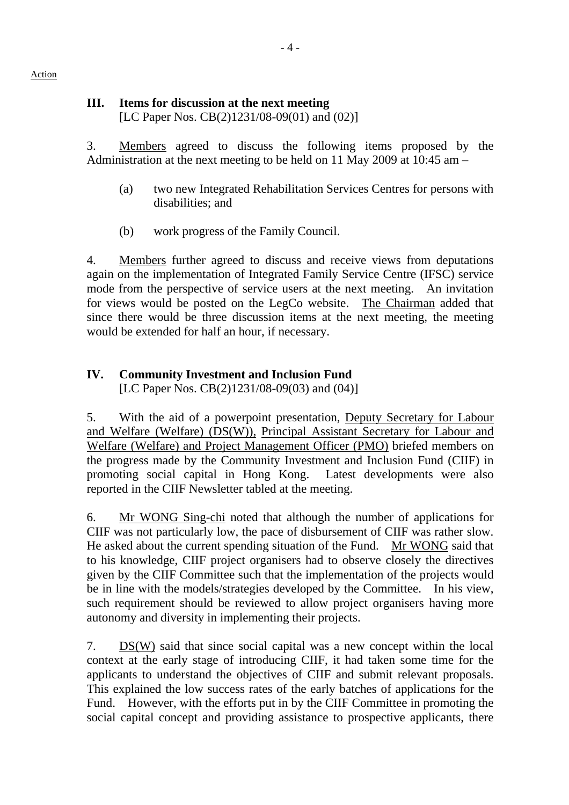# **III. Items for discussion at the next meeting**

[LC Paper Nos. CB(2)1231/08-09(01) and (02)]

3. Members agreed to discuss the following items proposed by the Administration at the next meeting to be held on 11 May 2009 at 10:45 am –

- (a) two new Integrated Rehabilitation Services Centres for persons with disabilities; and
- (b) work progress of the Family Council.

4. Members further agreed to discuss and receive views from deputations again on the implementation of Integrated Family Service Centre (IFSC) service mode from the perspective of service users at the next meeting. An invitation for views would be posted on the LegCo website. The Chairman added that since there would be three discussion items at the next meeting, the meeting would be extended for half an hour, if necessary.

# **IV. Community Investment and Inclusion Fund**

[LC Paper Nos. CB(2)1231/08-09(03) and (04)]

5. With the aid of a powerpoint presentation, Deputy Secretary for Labour and Welfare (Welfare) (DS(W)), Principal Assistant Secretary for Labour and Welfare (Welfare) and Project Management Officer (PMO) briefed members on the progress made by the Community Investment and Inclusion Fund (CIIF) in promoting social capital in Hong Kong. Latest developments were also reported in the CIIF Newsletter tabled at the meeting.

6. Mr WONG Sing-chi noted that although the number of applications for CIIF was not particularly low, the pace of disbursement of CIIF was rather slow. He asked about the current spending situation of the Fund. Mr WONG said that to his knowledge, CIIF project organisers had to observe closely the directives given by the CIIF Committee such that the implementation of the projects would be in line with the models/strategies developed by the Committee. In his view, such requirement should be reviewed to allow project organisers having more autonomy and diversity in implementing their projects.

7. DS(W) said that since social capital was a new concept within the local context at the early stage of introducing CIIF, it had taken some time for the applicants to understand the objectives of CIIF and submit relevant proposals. This explained the low success rates of the early batches of applications for the Fund. However, with the efforts put in by the CIIF Committee in promoting the social capital concept and providing assistance to prospective applicants, there

# Action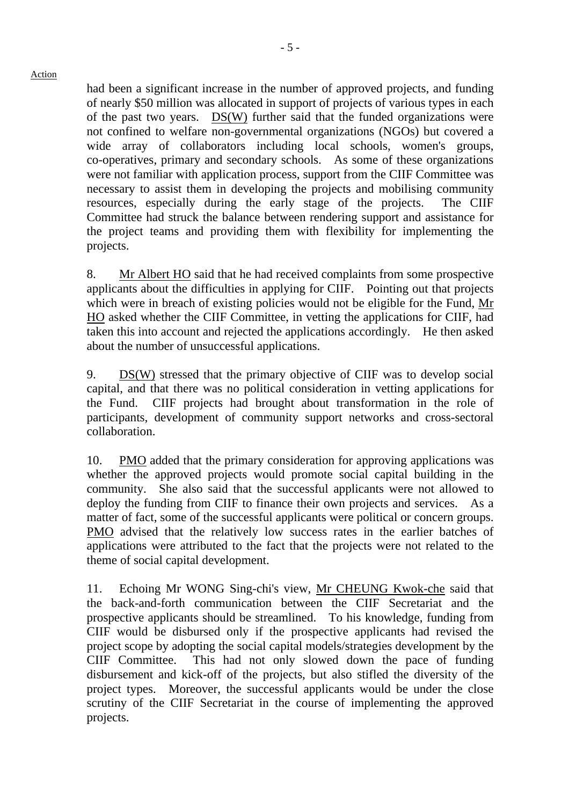had been a significant increase in the number of approved projects, and funding of nearly \$50 million was allocated in support of projects of various types in each of the past two years. DS(W) further said that the funded organizations were not confined to welfare non-governmental organizations (NGOs) but covered a wide array of collaborators including local schools, women's groups, co-operatives, primary and secondary schools. As some of these organizations were not familiar with application process, support from the CIIF Committee was necessary to assist them in developing the projects and mobilising community resources, especially during the early stage of the projects. The CIIF Committee had struck the balance between rendering support and assistance for the project teams and providing them with flexibility for implementing the projects.

8. Mr Albert HO said that he had received complaints from some prospective applicants about the difficulties in applying for CIIF. Pointing out that projects which were in breach of existing policies would not be eligible for the Fund, Mr HO asked whether the CIIF Committee, in vetting the applications for CIIF, had taken this into account and rejected the applications accordingly. He then asked about the number of unsuccessful applications.

9. DS(W) stressed that the primary objective of CIIF was to develop social capital, and that there was no political consideration in vetting applications for the Fund. CIIF projects had brought about transformation in the role of participants, development of community support networks and cross-sectoral collaboration.

10. PMO added that the primary consideration for approving applications was whether the approved projects would promote social capital building in the community. She also said that the successful applicants were not allowed to deploy the funding from CIIF to finance their own projects and services. As a matter of fact, some of the successful applicants were political or concern groups. PMO advised that the relatively low success rates in the earlier batches of applications were attributed to the fact that the projects were not related to the theme of social capital development.

11. Echoing Mr WONG Sing-chi's view, Mr CHEUNG Kwok-che said that the back-and-forth communication between the CIIF Secretariat and the prospective applicants should be streamlined. To his knowledge, funding from CIIF would be disbursed only if the prospective applicants had revised the project scope by adopting the social capital models/strategies development by the CIIF Committee. This had not only slowed down the pace of funding disbursement and kick-off of the projects, but also stifled the diversity of the project types. Moreover, the successful applicants would be under the close scrutiny of the CIIF Secretariat in the course of implementing the approved projects.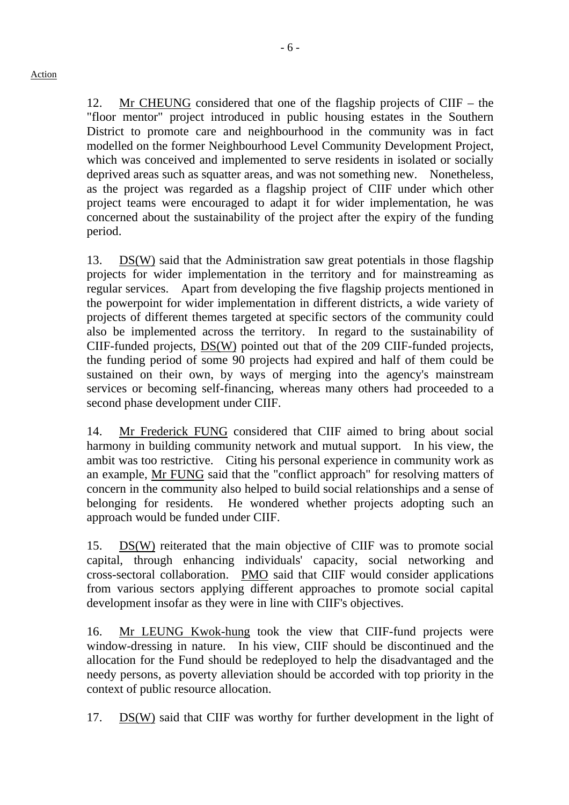12. Mr CHEUNG considered that one of the flagship projects of CIIF – the "floor mentor" project introduced in public housing estates in the Southern District to promote care and neighbourhood in the community was in fact modelled on the former Neighbourhood Level Community Development Project, which was conceived and implemented to serve residents in isolated or socially deprived areas such as squatter areas, and was not something new. Nonetheless, as the project was regarded as a flagship project of CIIF under which other project teams were encouraged to adapt it for wider implementation, he was concerned about the sustainability of the project after the expiry of the funding period.

13.  $DS(W)$  said that the Administration saw great potentials in those flagship projects for wider implementation in the territory and for mainstreaming as regular services. Apart from developing the five flagship projects mentioned in the powerpoint for wider implementation in different districts, a wide variety of projects of different themes targeted at specific sectors of the community could also be implemented across the territory. In regard to the sustainability of CIIF-funded projects, DS(W) pointed out that of the 209 CIIF-funded projects, the funding period of some 90 projects had expired and half of them could be sustained on their own, by ways of merging into the agency's mainstream services or becoming self-financing, whereas many others had proceeded to a second phase development under CIIF.

14. Mr Frederick FUNG considered that CIIF aimed to bring about social harmony in building community network and mutual support. In his view, the ambit was too restrictive. Citing his personal experience in community work as an example, Mr FUNG said that the "conflict approach" for resolving matters of concern in the community also helped to build social relationships and a sense of belonging for residents. He wondered whether projects adopting such an approach would be funded under CIIF.

15. DS(W) reiterated that the main objective of CIIF was to promote social capital, through enhancing individuals' capacity, social networking and cross-sectoral collaboration. PMO said that CIIF would consider applications from various sectors applying different approaches to promote social capital development insofar as they were in line with CIIF's objectives.

16. Mr LEUNG Kwok-hung took the view that CIIF-fund projects were window-dressing in nature. In his view, CIIF should be discontinued and the allocation for the Fund should be redeployed to help the disadvantaged and the needy persons, as poverty alleviation should be accorded with top priority in the context of public resource allocation.

17. DS(W) said that CIIF was worthy for further development in the light of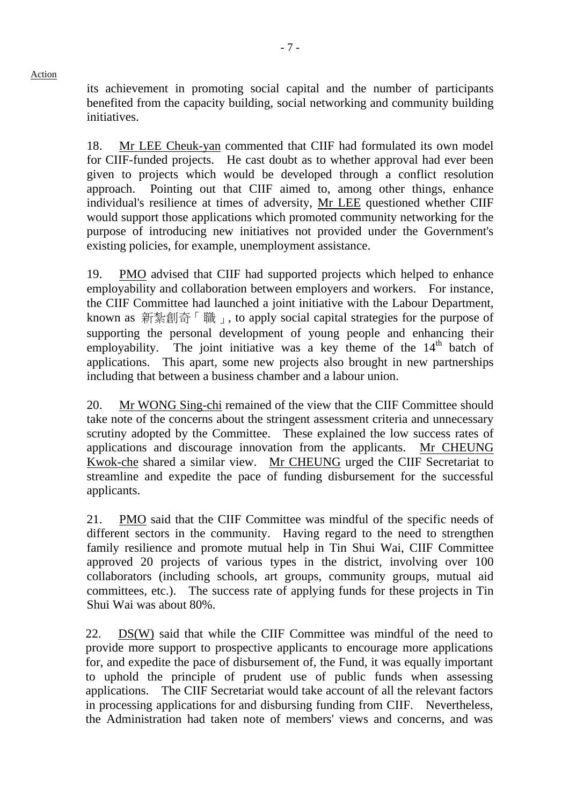its achievement in promoting social capital and the number of participants benefited from the capacity building, social networking and community building initiatives.

18. Mr LEE Cheuk-yan commented that CIIF had formulated its own model for CIIF-funded projects. He cast doubt as to whether approval had ever been given to projects which would be developed through a conflict resolution approach. Pointing out that CIIF aimed to, among other things, enhance individual's resilience at times of adversity, Mr LEE questioned whether CIIF would support those applications which promoted community networking for the purpose of introducing new initiatives not provided under the Government's existing policies, for example, unemployment assistance.

19. PMO advised that CIIF had supported projects which helped to enhance employability and collaboration between employers and workers. For instance, the CIIF Committee had launched a joint initiative with the Labour Department, known as 新紮創奇 「職」, to apply social capital strategies for the purpose of supporting the personal development of young people and enhancing their employability. The joint initiative was a key theme of the  $14<sup>th</sup>$  batch of applications. This apart, some new projects also brought in new partnerships including that between a business chamber and a labour union.

20. Mr WONG Sing-chi remained of the view that the CIIF Committee should take note of the concerns about the stringent assessment criteria and unnecessary scrutiny adopted by the Committee. These explained the low success rates of applications and discourage innovation from the applicants. Mr CHEUNG Kwok-che shared a similar view. Mr CHEUNG urged the CIIF Secretariat to streamline and expedite the pace of funding disbursement for the successful applicants.

21. PMO said that the CIIF Committee was mindful of the specific needs of different sectors in the community. Having regard to the need to strengthen family resilience and promote mutual help in Tin Shui Wai, CIIF Committee approved 20 projects of various types in the district, involving over 100 collaborators (including schools, art groups, community groups, mutual aid committees, etc.). The success rate of applying funds for these projects in Tin Shui Wai was about 80%.

22. DS(W) said that while the CIIF Committee was mindful of the need to provide more support to prospective applicants to encourage more applications for, and expedite the pace of disbursement of, the Fund, it was equally important to uphold the principle of prudent use of public funds when assessing applications. The CIIF Secretariat would take account of all the relevant factors in processing applications for and disbursing funding from CIIF. Nevertheless, the Administration had taken note of members' views and concerns, and was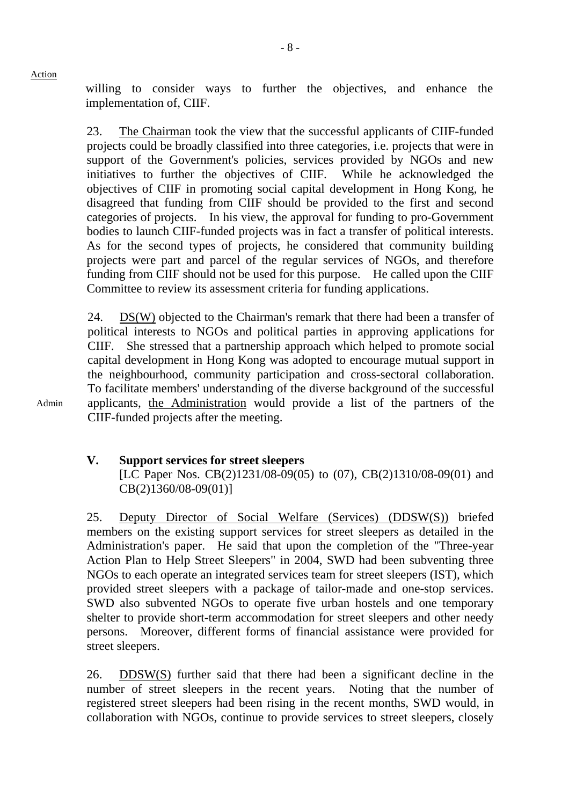willing to consider ways to further the objectives, and enhance the implementation of, CIIF.

23. The Chairman took the view that the successful applicants of CIIF-funded projects could be broadly classified into three categories, i.e. projects that were in support of the Government's policies, services provided by NGOs and new initiatives to further the objectives of CIIF. While he acknowledged the objectives of CIIF in promoting social capital development in Hong Kong, he disagreed that funding from CIIF should be provided to the first and second categories of projects. In his view, the approval for funding to pro-Government bodies to launch CIIF-funded projects was in fact a transfer of political interests. As for the second types of projects, he considered that community building projects were part and parcel of the regular services of NGOs, and therefore funding from CIIF should not be used for this purpose. He called upon the CIIF Committee to review its assessment criteria for funding applications.

24.  $DS(W)$  objected to the Chairman's remark that there had been a transfer of political interests to NGOs and political parties in approving applications for CIIF. She stressed that a partnership approach which helped to promote social capital development in Hong Kong was adopted to encourage mutual support in the neighbourhood, community participation and cross-sectoral collaboration. To facilitate members' understanding of the diverse background of the successful applicants, the Administration would provide a list of the partners of the CIIF-funded projects after the meeting.

## **V. Support services for street sleepers**

[LC Paper Nos. CB(2)1231/08-09(05) to (07), CB(2)1310/08-09(01) and CB(2)1360/08-09(01)]

25. Deputy Director of Social Welfare (Services) (DDSW(S)) briefed members on the existing support services for street sleepers as detailed in the Administration's paper. He said that upon the completion of the "Three-year Action Plan to Help Street Sleepers" in 2004, SWD had been subventing three NGOs to each operate an integrated services team for street sleepers (IST), which provided street sleepers with a package of tailor-made and one-stop services. SWD also subvented NGOs to operate five urban hostels and one temporary shelter to provide short-term accommodation for street sleepers and other needy persons. Moreover, different forms of financial assistance were provided for street sleepers.

26. DDSW(S) further said that there had been a significant decline in the number of street sleepers in the recent years. Noting that the number of registered street sleepers had been rising in the recent months, SWD would, in collaboration with NGOs, continue to provide services to street sleepers, closely

Admin

Action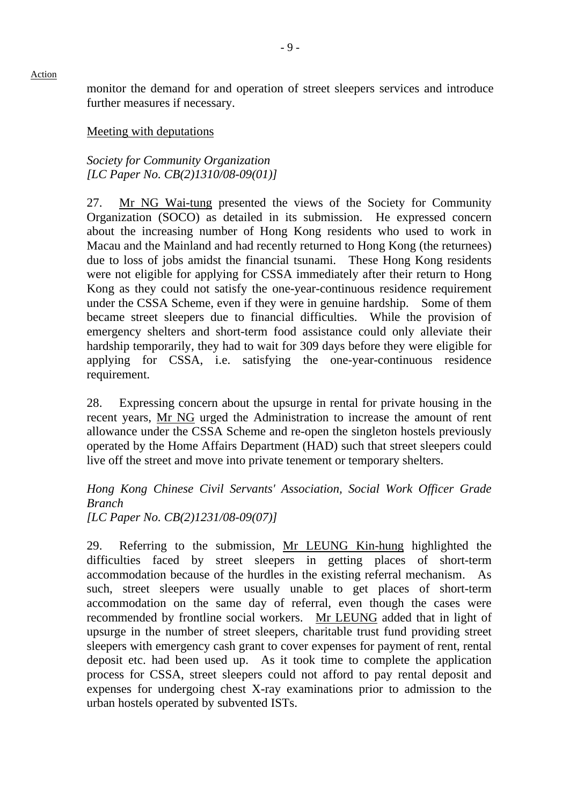monitor the demand for and operation of street sleepers services and introduce further measures if necessary.

Meeting with deputations

*Society for Community Organization [LC Paper No. CB(2)1310/08-09(01)]* 

27. Mr NG Wai-tung presented the views of the Society for Community Organization (SOCO) as detailed in its submission. He expressed concern about the increasing number of Hong Kong residents who used to work in Macau and the Mainland and had recently returned to Hong Kong (the returnees) due to loss of jobs amidst the financial tsunami. These Hong Kong residents were not eligible for applying for CSSA immediately after their return to Hong Kong as they could not satisfy the one-year-continuous residence requirement under the CSSA Scheme, even if they were in genuine hardship. Some of them became street sleepers due to financial difficulties. While the provision of emergency shelters and short-term food assistance could only alleviate their hardship temporarily, they had to wait for 309 days before they were eligible for applying for CSSA, i.e. satisfying the one-year-continuous residence requirement.

28. Expressing concern about the upsurge in rental for private housing in the recent years, Mr NG urged the Administration to increase the amount of rent allowance under the CSSA Scheme and re-open the singleton hostels previously operated by the Home Affairs Department (HAD) such that street sleepers could live off the street and move into private tenement or temporary shelters.

*Hong Kong Chinese Civil Servants' Association, Social Work Officer Grade Branch [LC Paper No. CB(2)1231/08-09(07)]* 

29. Referring to the submission, Mr LEUNG Kin-hung highlighted the difficulties faced by street sleepers in getting places of short-term accommodation because of the hurdles in the existing referral mechanism. As such, street sleepers were usually unable to get places of short-term accommodation on the same day of referral, even though the cases were recommended by frontline social workers. Mr LEUNG added that in light of upsurge in the number of street sleepers, charitable trust fund providing street sleepers with emergency cash grant to cover expenses for payment of rent, rental deposit etc. had been used up. As it took time to complete the application process for CSSA, street sleepers could not afford to pay rental deposit and expenses for undergoing chest X-ray examinations prior to admission to the urban hostels operated by subvented ISTs.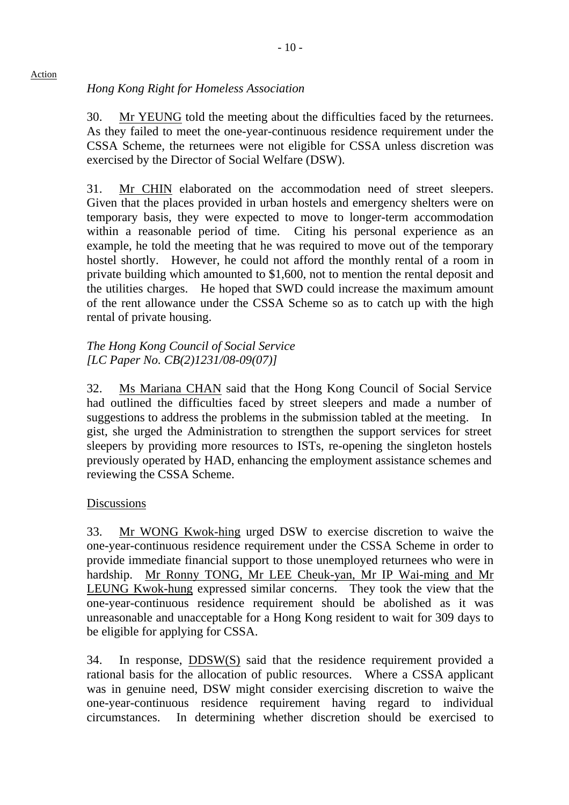# *Hong Kong Right for Homeless Association*

30. Mr YEUNG told the meeting about the difficulties faced by the returnees. As they failed to meet the one-year-continuous residence requirement under the CSSA Scheme, the returnees were not eligible for CSSA unless discretion was exercised by the Director of Social Welfare (DSW).

31. Mr CHIN elaborated on the accommodation need of street sleepers. Given that the places provided in urban hostels and emergency shelters were on temporary basis, they were expected to move to longer-term accommodation within a reasonable period of time. Citing his personal experience as an example, he told the meeting that he was required to move out of the temporary hostel shortly. However, he could not afford the monthly rental of a room in private building which amounted to \$1,600, not to mention the rental deposit and the utilities charges. He hoped that SWD could increase the maximum amount of the rent allowance under the CSSA Scheme so as to catch up with the high rental of private housing.

# *The Hong Kong Council of Social Service [LC Paper No. CB(2)1231/08-09(07)]*

32. Ms Mariana CHAN said that the Hong Kong Council of Social Service had outlined the difficulties faced by street sleepers and made a number of suggestions to address the problems in the submission tabled at the meeting. In gist, she urged the Administration to strengthen the support services for street sleepers by providing more resources to ISTs, re-opening the singleton hostels previously operated by HAD, enhancing the employment assistance schemes and reviewing the CSSA Scheme.

# **Discussions**

33. Mr WONG Kwok-hing urged DSW to exercise discretion to waive the one-year-continuous residence requirement under the CSSA Scheme in order to provide immediate financial support to those unemployed returnees who were in hardship. Mr Ronny TONG, Mr LEE Cheuk-yan, Mr IP Wai-ming and Mr LEUNG Kwok-hung expressed similar concerns. They took the view that the one-year-continuous residence requirement should be abolished as it was unreasonable and unacceptable for a Hong Kong resident to wait for 309 days to be eligible for applying for CSSA.

34. In response, DDSW(S) said that the residence requirement provided a rational basis for the allocation of public resources. Where a CSSA applicant was in genuine need, DSW might consider exercising discretion to waive the one-year-continuous residence requirement having regard to individual circumstances. In determining whether discretion should be exercised to

#### $-10-$

## Action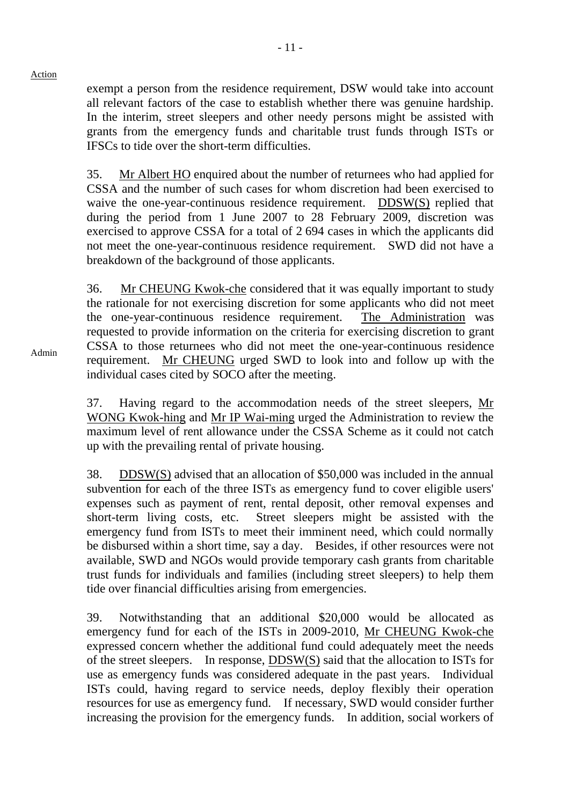exempt a person from the residence requirement, DSW would take into account all relevant factors of the case to establish whether there was genuine hardship. In the interim, street sleepers and other needy persons might be assisted with grants from the emergency funds and charitable trust funds through ISTs or IFSCs to tide over the short-term difficulties.

35. Mr Albert HO enquired about the number of returnees who had applied for CSSA and the number of such cases for whom discretion had been exercised to waive the one-year-continuous residence requirement. DDSW(S) replied that during the period from 1 June 2007 to 28 February 2009, discretion was exercised to approve CSSA for a total of 2,694 cases in which the applicants did not meet the one-year-continuous residence requirement. SWD did not have a breakdown of the background of those applicants.

36. Mr CHEUNG Kwok-che considered that it was equally important to study the rationale for not exercising discretion for some applicants who did not meet the one-year-continuous residence requirement. The Administration was requested to provide information on the criteria for exercising discretion to grant CSSA to those returnees who did not meet the one-year-continuous residence requirement. Mr CHEUNG urged SWD to look into and follow up with the individual cases cited by SOCO after the meeting.

37. Having regard to the accommodation needs of the street sleepers, Mr WONG Kwok-hing and Mr IP Wai-ming urged the Administration to review the maximum level of rent allowance under the CSSA Scheme as it could not catch up with the prevailing rental of private housing.

38. DDSW(S) advised that an allocation of \$50,000 was included in the annual subvention for each of the three ISTs as emergency fund to cover eligible users' expenses such as payment of rent, rental deposit, other removal expenses and short-term living costs, etc. Street sleepers might be assisted with the emergency fund from ISTs to meet their imminent need, which could normally be disbursed within a short time, say a day. Besides, if other resources were not available, SWD and NGOs would provide temporary cash grants from charitable trust funds for individuals and families (including street sleepers) to help them tide over financial difficulties arising from emergencies.

39. Notwithstanding that an additional \$20,000 would be allocated as emergency fund for each of the ISTs in 2009-2010, Mr CHEUNG Kwok-che expressed concern whether the additional fund could adequately meet the needs of the street sleepers. In response, DDSW(S) said that the allocation to ISTs for use as emergency funds was considered adequate in the past years. Individual ISTs could, having regard to service needs, deploy flexibly their operation resources for use as emergency fund. If necessary, SWD would consider further increasing the provision for the emergency funds. In addition, social workers of

Admin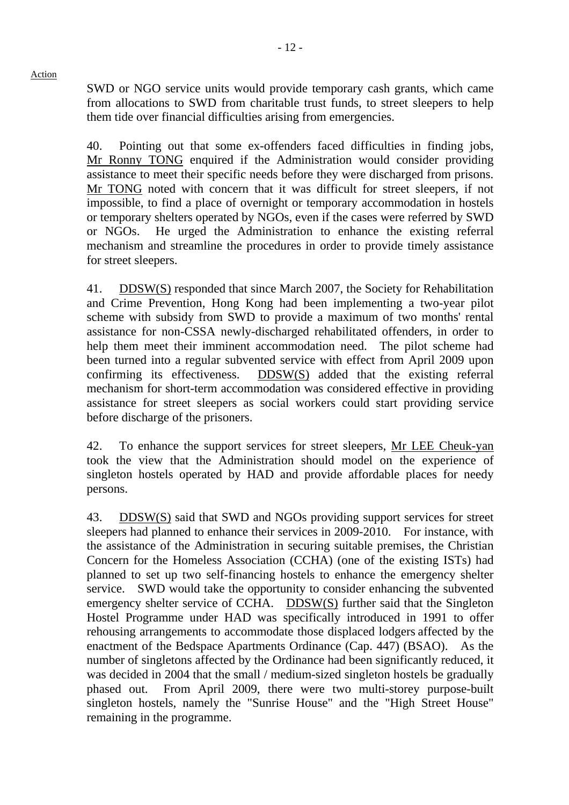SWD or NGO service units would provide temporary cash grants, which came from allocations to SWD from charitable trust funds, to street sleepers to help them tide over financial difficulties arising from emergencies.

40. Pointing out that some ex-offenders faced difficulties in finding jobs, Mr Ronny TONG enquired if the Administration would consider providing assistance to meet their specific needs before they were discharged from prisons. Mr TONG noted with concern that it was difficult for street sleepers, if not impossible, to find a place of overnight or temporary accommodation in hostels or temporary shelters operated by NGOs, even if the cases were referred by SWD or NGOs. He urged the Administration to enhance the existing referral mechanism and streamline the procedures in order to provide timely assistance for street sleepers.

41. DDSW(S) responded that since March 2007, the Society for Rehabilitation and Crime Prevention, Hong Kong had been implementing a two-year pilot scheme with subsidy from SWD to provide a maximum of two months' rental assistance for non-CSSA newly-discharged rehabilitated offenders, in order to help them meet their imminent accommodation need. The pilot scheme had been turned into a regular subvented service with effect from April 2009 upon confirming its effectiveness. DDSW(S) added that the existing referral mechanism for short-term accommodation was considered effective in providing assistance for street sleepers as social workers could start providing service before discharge of the prisoners.

42. To enhance the support services for street sleepers, Mr LEE Cheuk-yan took the view that the Administration should model on the experience of singleton hostels operated by HAD and provide affordable places for needy persons.

43. DDSW(S) said that SWD and NGOs providing support services for street sleepers had planned to enhance their services in 2009-2010. For instance, with the assistance of the Administration in securing suitable premises, the Christian Concern for the Homeless Association (CCHA) (one of the existing ISTs) had planned to set up two self-financing hostels to enhance the emergency shelter service. SWD would take the opportunity to consider enhancing the subvented emergency shelter service of CCHA. DDSW(S) further said that the Singleton Hostel Programme under HAD was specifically introduced in 1991 to offer rehousing arrangements to accommodate those displaced lodgers affected by the enactment of the Bedspace Apartments Ordinance (Cap. 447) (BSAO). As the number of singletons affected by the Ordinance had been significantly reduced, it was decided in 2004 that the small / medium-sized singleton hostels be gradually phased out. From April 2009, there were two multi-storey purpose-built singleton hostels, namely the "Sunrise House" and the "High Street House" remaining in the programme.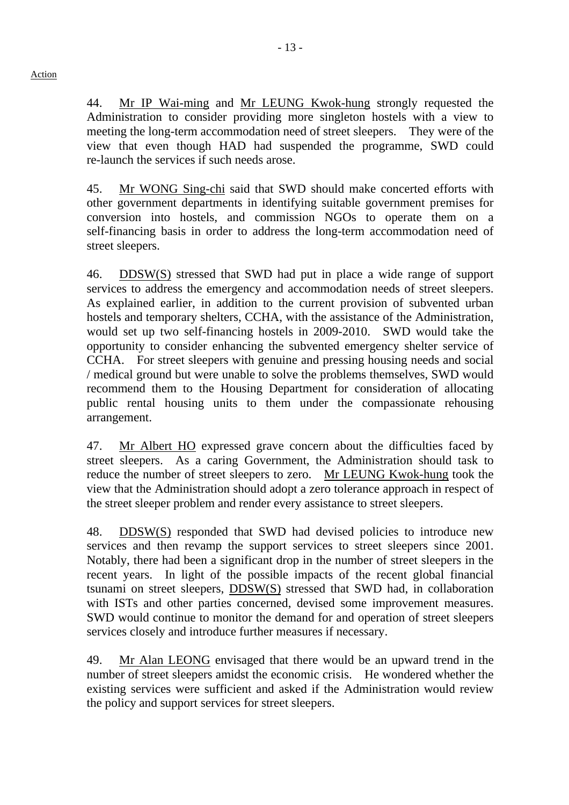44. Mr IP Wai-ming and Mr LEUNG Kwok-hung strongly requested the Administration to consider providing more singleton hostels with a view to meeting the long-term accommodation need of street sleepers. They were of the view that even though HAD had suspended the programme, SWD could re-launch the services if such needs arose.

45. Mr WONG Sing-chi said that SWD should make concerted efforts with other government departments in identifying suitable government premises for conversion into hostels, and commission NGOs to operate them on a self-financing basis in order to address the long-term accommodation need of street sleepers.

46. DDSW(S) stressed that SWD had put in place a wide range of support services to address the emergency and accommodation needs of street sleepers. As explained earlier, in addition to the current provision of subvented urban hostels and temporary shelters, CCHA, with the assistance of the Administration, would set up two self-financing hostels in 2009-2010. SWD would take the opportunity to consider enhancing the subvented emergency shelter service of CCHA. For street sleepers with genuine and pressing housing needs and social / medical ground but were unable to solve the problems themselves, SWD would recommend them to the Housing Department for consideration of allocating public rental housing units to them under the compassionate rehousing arrangement.

47. Mr Albert HO expressed grave concern about the difficulties faced by street sleepers. As a caring Government, the Administration should task to reduce the number of street sleepers to zero. Mr LEUNG Kwok-hung took the view that the Administration should adopt a zero tolerance approach in respect of the street sleeper problem and render every assistance to street sleepers.

48. DDSW(S) responded that SWD had devised policies to introduce new services and then revamp the support services to street sleepers since 2001. Notably, there had been a significant drop in the number of street sleepers in the recent years. In light of the possible impacts of the recent global financial tsunami on street sleepers, DDSW(S) stressed that SWD had, in collaboration with ISTs and other parties concerned, devised some improvement measures. SWD would continue to monitor the demand for and operation of street sleepers services closely and introduce further measures if necessary.

49. Mr Alan LEONG envisaged that there would be an upward trend in the number of street sleepers amidst the economic crisis. He wondered whether the existing services were sufficient and asked if the Administration would review the policy and support services for street sleepers.